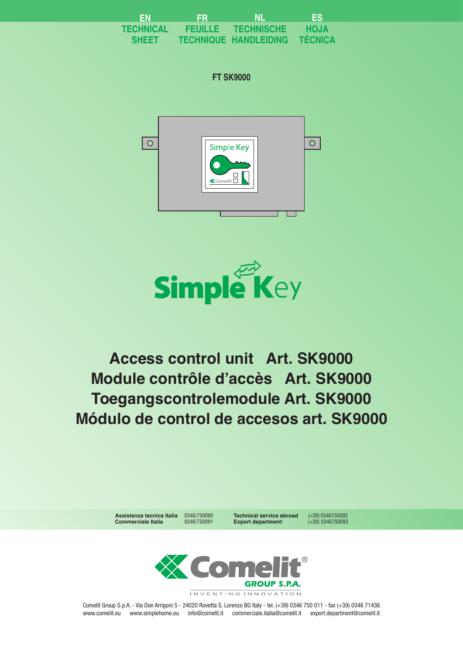| EN           | ÆR             | <b>NL</b>                    | <b>TEST</b>    |
|--------------|----------------|------------------------------|----------------|
| TECHNICAL    | <b>FEUILLE</b> | <b>TECHNISCHE</b>            | <b>HOJA</b>    |
| <b>SHEET</b> |                | <b>TECHNIQUE HANDLEIDING</b> | <b>TÉCNICA</b> |

**FT SK9000**





**Toegangscontrolemodule Art. SK9000 Módulo de control de accesos art. SK9000 Access control unit Art. SK9000 Module contrôle d'accès Art. SK9000**



**Assistenza tecnica Italia** 0346/750090 **Technical service abroad** (+39) 0346750092

**Export department** 

INVENTING INNOVATION

Comelit Group S.p.A. - Via Don Arrigoni 5 - 24020 Rovetta S. Lorenzo BG Italy - tel. (+39) 0346 750 011 - fax (+39) 0346 71436 www.comelit.eu www.simplehome.eu info@comelit.it commerciale.italia@comelit.it export.department@comelit.it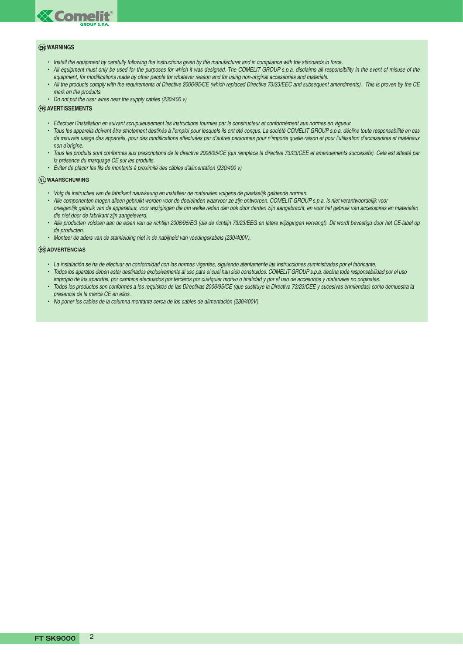

#### **EN WARNINGS**

- Install the equipment by carefully following the instructions given by the manufacturer and in compliance with the standards in force.
- All equipment must only be used for the purposes for which it was designed. The COMELIT GROUP s.p.a. disclaims all responsibility in the event of misuse of the equipment, for modifications made by other people for whatever reason and for using non-original accessories and materials.
- All the products comply with the requirements of Directive 2006/95/CE (which replaced Directive 73/23/EEC and subsequent amendments). This is proven by the CE mark on the products.
- Do not put the riser wires near the supply cables (230/400 v)

#### **FR AVERTISSEMENTS**

- Effectuer l'installation en suivant scrupuleusement les instructions fournies par le constructeur et conformément aux normes en vigueur.
- Tous les appareils doivent être strictement destinés à l'emploi pour lesquels ils ont été conçus. La société COMELIT GROUP s.p.a. décline toute responsabilité en cas de mauvais usage des appareils, pour des modifications effectuées par d'autres personnes pour n'importe quelle raison et pour l'utilisation d'accessoires et matériaux non d'origine.
- Tous les produits sont conformes aux prescriptions de la directive 2006/95/CE (qui remplace la directive 73/23/CEE et amendements successifs). Cela est attesté par la présence du marquage CE sur les produits.
- Eviter de placer les fils de montants à proximité des câbles d'alimentation (230/400 v)

#### **NL WAARSCHUWING**

- Volg de instructies van de fabrikant nauwkeurig en installeer de materialen volgens de plaatselijk geldende normen.
- Alle componenten mogen alleen gebruikt worden voor de doeleinden waarvoor ze zijn ontworpen. COMELIT GROUP s.p.a. is niet verantwoordelijk voor oneigenlijk gebruik van de apparatuur, voor wijzigingen die om welke reden dan ook door derden zijn aangebracht, en voor het gebruik van accessoires en materialen die niet door de fabrikant zijn aangeleverd.
- Alle producten voldoen aan de eisen van de richtlijn 2006/95/EG (die de richtlijn 73/23/EEG en latere wijzigingen vervangt). Dit wordt bevestigd door het CE-label op de producten.
- Monteer de aders van de stamleiding niet in de nabijheid van voedingskabels (230/400V).

#### **ES ADVERTENCIAS**

- La instalación se ha de efectuar en conformidad con las normas vigentes, siguiendo atentamente las instrucciones suministradas por el fabricante.
- Todos los aparatos deben estar destinados exclusivamente al uso para el cual han sido construidos. COMELIT GROUP s.p.a. declina toda responsabilidad por el uso impropio de los aparatos, por cambios efectuados por terceros por cualquier motivo o finalidad y por el uso de accesorios y materiales no originales.
- Todos los productos son conformes a los requisitos de las Directivas 2006/95/CE (que sustituye la Directiva 73/23/CEE y sucesivas enmiendas) como demuestra la presencia de la marca CE en ellos.
- No poner los cables de la columna montante cerca de los cables de alimentación (230/400V).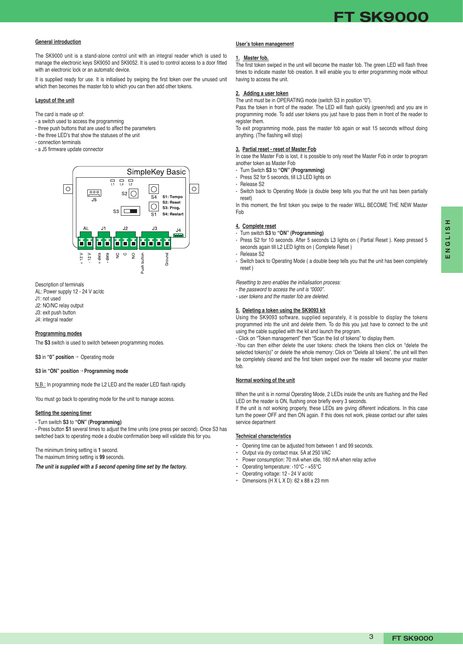# **FT SK9000**

#### **General introduction**

The SK9000 unit is a stand-alone control unit with an integral reader which is used to manage the electronic keys SK9050 and SK9052. It is used to control access to a door fitted with an electronic lock or an automatic device.

It is supplied ready for use. It is initialised by swiping the first token over the unused unit which then becomes the master fob to which you can then add other tokens.

#### **Layout of the unit**

The card is made up of:

- a switch used to access the programming
- three push buttons that are used to affect the parameters
- the three LED's that show the statuses of the unit
- connection terminals
- a J5 firmware update connector



#### Description of terminals

AL: Power supply 12 - 24 V ac/dc

- J1: not used
- J2: NO/NC relay output J3: exit push button
- J4: integral reader

### **Programming modes**

The **S3** switch is used to switch between programming modes.

**S3** in **"0" position** *→* Operating mode

#### **S3 in "ON" position** *→* **Programming mode**

N.B.: In programming mode the L2 LED and the reader LED flash rapidly.

You must go back to operating mode for the unit to manage access.

### **Setting the opening timer**

#### - Turn switch **S3** to **"ON" (Programming)**

- Press button **S1** several times to adjust the time units (one press per second). Once S3 has switched back to operating mode a double confirmation beep will validate this for you.

The minimum timing setting is **1** second.

The maximum timing setting is **99** seconds.

**The unit is supplied with a 5 second opening time set by the factory.**

#### **User's token management**

#### **1. Master fob.**

The first token swiped in the unit will become the master fob. The green LED will flash three times to indicate master fob creation. It will enable you to enter programming mode without having to access the unit.

#### **2. Adding a user token**

The unit must be in OPERATING mode (switch S3 in position "0").

Pass the token in front of the reader. The LED will flash quickly (green/red) and you are in programming mode. To add user tokens you just have to pass them in front of the reader to register them.

To exit programming mode, pass the master fob again or wait 15 seconds without doing anything. (The flashing will stop)

#### **3. Partial reset - reset of Master Fob**

In case the Master Fob is lost, it is possible to only reset the Master Fob in order to program another token as Master Fob

- Turn Switch **S3** to **"ON" (Programming)**
- Press S2 for 5 seconds, till L3 LED lights on
- Release S2
- Switch back to Operating Mode (a double beep tells you that the unit has been partially reset)

In this moment, the first token you swipe to the reader WILL BECOME THE NEW Master Fob

#### **4. Complete reset**

- Turn switch **S3** to **"ON" (Programming)**
- Press S2 for 10 seconds. After 5 seconds L3 lights on ( Partial Reset ). Keep pressed 5 seconds again till L2 LED lights on ( Complete Reset )
- Release S2
- Switch back to Operating Mode ( a double beep tells you that the unit has been completely reset )

Resetting to zero enables the initialisation process:

- the password to access the unit is "0000".
- user tokens and the master fob are deleted.

### **5. Deleting a token using the SK9093 kit**

Using the SK9093 software, supplied separately, it is possible to display the tokens programmed into the unit and delete them. To do this you just have to connect to the unit using the cable supplied with the kit and launch the program.

- Click on "Token management" then "Scan the list of tokens" to display them.

-You can then either delete the user tokens: check the tokens then click on "delete the selected token(s)" or delete the whole memory: Click on "Delete all tokens", the unit will then be completely cleared and the first token swiped over the reader will become your master fob.

### **Normal working of the unit**

When the unit is in normal Operating Mode, 2 LEDs inside the units are flushing and the Red LED on the reader is ON, flushing once briefly every 3 seconds.

If the unit is not working properly, these LEDs are giving different indications. In this case turn the power OFF and then ON again. If this does not work, please contact our after sales service department

#### **Technical characteristics**

- Opening time can be adjusted from between 1 and 99 seconds.
- Output via dry contact max. 5A at 250 VAC
- Power consumption: 70 mA when idle, 160 mA when relay active
- Operating temperature: -10°C +55°C
- Operating voltage: 12 24 V ac/dc
- Dimensions  $(H \times L \times D)$ : 62 x 88 x 23 mm

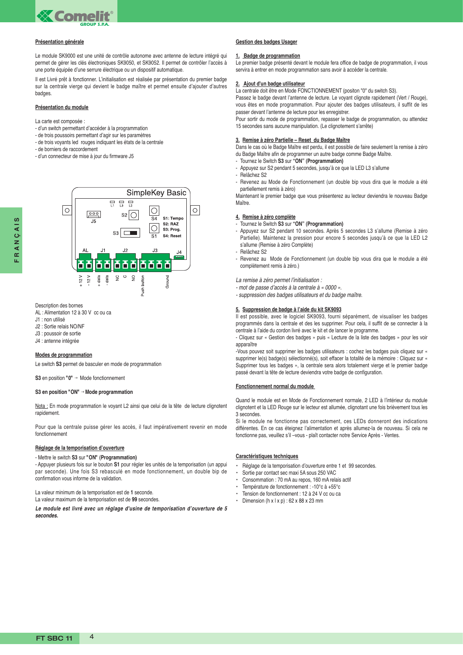

#### **Présentation générale**

Le module SK9000 est une unité de contrôle autonome avec antenne de lecture intégré qui permet de gérer les clés électroniques SK9050, et SK9052. Il permet de contrôler l'accès à une porte équipée d'une serrure électrique ou un dispositif automatique.

Il est Livré prêt à fonctionner. L'initialisation est réalisée par présentation du premier badge sur la centrale vierge qui devient le badge maître et permet ensuite d'ajouter d'autres badges.

#### **Présentation du module**

- La carte est composée :
- d'un switch permettant d'accéder à la programmation
- de trois poussoirs permettant d'agir sur les paramètres
- de trois voyants led rouges indiquant les états de la centrale
- de borniers de raccordement
- d'un connecteur de mise à jour du firmware J5



Description des bornes

- AL : Alimentation 12 à 30 V cc ou ca
- J1 : non utilisé
- J2 : Sortie relais NO/NF
- J3 : poussoir de sortie
- J4 : antenne intégrée

#### **Modes de programmation**

Le switch **S3** permet de basculer en mode de programmation

**S3** en position **"0"** *→* Mode fonctionnement

#### **S3 en position "ON"** *→* **Mode programmation**

Nota : En mode programmation le voyant L2 ainsi que celui de la tête de lecture clignotent rapidement.

Pour que la centrale puisse gérer les accès, il faut impérativement revenir en mode fonctionnement

#### **Réglage de la temporisation d'ouverture**

#### - Mettre le switch **S3** sur **"ON" (Programmation)**

- Appuyer plusieurs fois sur le bouton **S1** pour régler les unités de la temporisation (un appui par seconde). Une fois S3 rebasculé en mode fonctionnement, un double bip de confirmation vous informe de la validation.

La valeur minimum de la temporisation est de **1** seconde.

La valeur maximum de la temporisation est de **99** secondes.

**Le module est livré avec un réglage d'usine de temporisation d'ouverture de 5 secondes.**

#### **Gestion des badges Usager**

#### **1. Badge de programmation**

Le premier badge présenté devant le module fera office de badge de programmation, il vous servira à entrer en mode programmation sans avoir à accéder la centrale.

#### **2. Ajout d'un badge utilisateur**

La centrale doit être en Mode FONCTIONNEMENT (positon "0" du switch S3).

Passez le badge devant l'antenne de lecture. Le voyant clignote rapidement (Vert / Rouge), vous êtes en mode programmation. Pour ajouter des badges utilisateurs, il suffit de les passer devant l'antenne de lecture pour les enregistrer.

Pour sortir du mode de programmation, repasser le badge de programmation, ou attendez 15 secondes sans aucune manipulation. (Le clignotement s'arrête)

#### **3. Remise à zéro Partielle – Reset du Badge Maître**

Dans le cas où le Badge Maître est perdu, il est possible de faire seulement la remise à zéro du Badge Maître afin de programmer un autre badge comme Badge Maître.

- Tournez le Switch **S3** sur **"ON" (Programmation)** - Appuyez sur S2 pendant 5 secondes, jusqu'à ce que la LED L3 s'allume
- Relâchez S2
- Revenez au Mode de Fonctionnement (un double bip vous dira que le module a été partiellement remis à zéro)

Maintenant le premier badge que vous présenterez au lecteur deviendra le nouveau Badge Maître.

#### **4. Remise à zéro complète**

#### - Tournez le Switch **S3** sur **"ON" (Programmation)**

- Appuyez sur S2 pendant 10 secondes. Après 5 secondes L3 s'allume (Remise à zéro Partielle). Maintenez la pression pour encore 5 secondes jusqu'à ce que la LED L2 s'allume (Remise à zéro Complète)

- Relâchez S2
- Revenez au Mode de Fonctionnement (un double bip vous dira que le module a été complètement remis à zéro.)

La remise à zéro permet l'initialisation :

- mot de passe d'accès à la centrale à « 0000 ».

- suppression des badges utilisateurs et du badge maître.

#### **5. Suppression de badge à l'aide du kit SK9093**

Il est possible, avec le logiciel SK9093, fourni séparément, de visualiser les badges programmés dans la centrale et des les supprimer. Pour cela, il suffit de se connecter à la centrale à l'aide du cordon livré avec le kit et de lancer le programme.

- Cliquez sur « Gestion des badges » puis « Lecture de la liste des badges » pour les voir apparaître

-Vous pouvez soit supprimer les badges utilisateurs : cochez les badges puis cliquez sur « supprimer le(s) badge(s) sélectionné(s), soit effacer la totalité de la mémoire : Cliquez sur « Supprimer tous les badges », la centrale sera alors totalement vierge et le premier badge passé devant la tête de lecture deviendra votre badge de configuration.

#### **Fonctionnement normal du module**

Quand le module est en Mode de Fonctionnement normale, 2 LED à l'intérieur du module clignotent et la LED Rouge sur le lecteur est allumée, clignotant une fois brièvement tous les 3 secondes.

Si le module ne fonctionne pas correctement, ces LEDs donneront des indications différentes. En ce cas éteignez l'alimentation et après allumez-la de nouveau. Si cela ne fonctionne pas, veuillez s'il –vous - plaît contacter notre Service Après - Ventes.

#### **Caractéristiques techniques**

- Réglage de la temporisation d'ouverture entre 1 et 99 secondes.
- Sortie par contact sec maxi 5A sous 250 VAC
- Consommation : 70 mA au repos, 160 mA relais actif
- Température de fonctionnement : -10°c à +55°c
- Tension de fonctionnement : 12 à 24 V cc ou ca
- Dimension (h x | x p) : 62 x 88 x 23 mm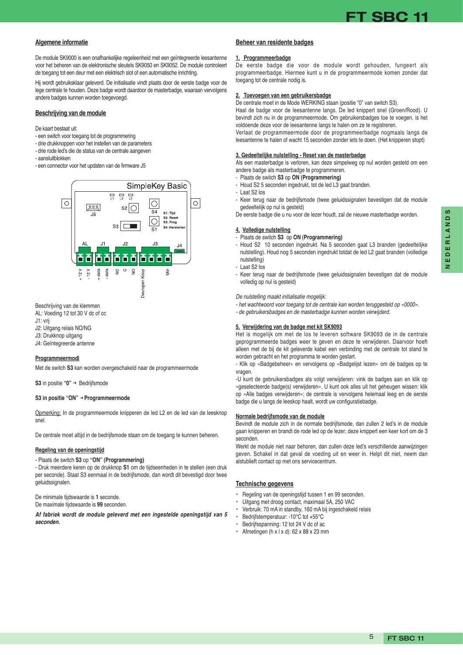

## **Algemene informatie**

De module SK9000 is een onafhankelijke regeleenheid met een geïntegreerde leesantenne voor het beheren van de elektronische sleutels SK9050 en SK9052. De module controleert de toegang tot een deur met een elektrisch slot of een automatische inrichting.

Hij wordt gebruiksklaar geleverd. De initialisatie vindt plaats door de eerste badge voor de lege centrale te houden. Deze badge wordt daardoor de masterbadge, waaraan vervolgens andere badges kunnen worden toegevoegd.

#### **Beschrijving van de module**

#### De kaart bestaat uit:

- een switch voor toegang tot de programmering
- drie drukknoppen voor het instellen van de parameters
- drie rode led's die de status van de centrale aangeven
- aansluitblokken
- een connector voor het updaten van de firmware J5



#### Beschrijving van de klemmen

AL: Voeding 12 tot 30 V dc of cc

- J1: vrij
- J2: Uitgang relais NO/NG
- J3: Drukknop uitgang
- J4: Geïntegreerde antenne

#### **Programmeermodi**

Met de switch **S3** kan worden overgeschakeld naar de programmeermode

**S3** in positie **"0"** *→* Bedrijfsmode

#### **S3 in positie "ON"** *→* **Programmeermode**

Opmerking: In de programmeermode knipperen de led L2 en de led van de leesknop snel.

De centrale moet altijd in de bedrijfsmode staan om de toegang te kunnen beheren.

#### **Regeling van de openingstijd**

# - Plaats de switch **S3** op **"ON" (Programmering)**

- Druk meerdere keren op de drukknop **S1** om de tijdseenheden in te stellen (een druk per seconde). Staat S3 eenmaal in de bedrijfsmode, dan wordt dit bevestigd door twee geluidssignalen.

De minimale tijdswaarde is **1** seconde.

De maximale tijdswaarde is **99** seconden.

**Af fabriek wordt de module geleverd met een ingestelde openingstijd van 5 seconden.**

#### **Beheer van residente badges**

#### **1. Programmeerbadge**

De eerste badge die voor de module wordt gehouden, fungeert als programmeerbadge. Hiermee kunt u in de programmeermode komen zonder dat toegang tot de centrale nodig is.

#### **2. Toevoegen van een gebruikersbadge**

De centrale moet in de Mode WERKING staan (positie "0" van switch S3).

Haal de badge voor de leesantenne langs. De led knippert snel (Groen/Rood). U bevindt zich nu in de programmeermode. Om gebruikersbadges toe te voegen, is het voldoende deze voor de leesantenne langs te halen om ze te registreren.

Verlaat de programmeermode door de programmeerbadge nogmaals langs de leesantenne te halen of wacht 15 seconden zonder iets te doen. (Het knipperen stopt)

#### **3. Gedeeltelijke nulstelling - Reset van de masterbadge**

Als een masterbadge is verloren, kan deze simpelweg op nul worden gesteld om een andere badge als masterbadge te programmeren.

- Plaats de switch **S3** op **ON (Programmering)**
- Houd S2 5 seconden ingedrukt, tot de led L3 gaat branden.
- Laat S2 los
- Keer terug naar de bedrijfsmode (twee geluidssignalen bevestigen dat de module gedeeltelijk op nul is gesteld)

De eerste badge die u nu voor de lezer houdt, zal de nieuwe masterbadge worden.

#### **4. Volledige nulstelling**

- Plaats de switch **S3** op **ON (Programmering)**
- Houd S2 10 seconden ingedrukt. Na 5 seconden gaat L3 branden (gedeeltelijke nulstelling). Houd nog 5 seconden ingedrukt totdat de led L2 gaat branden (volledige nulstelling)
- Laat S2 los
- Keer terug naar de bedrijfsmode (twee geluidssignalen bevestigen dat de module volledig op nul is gesteld)

#### De nulstelling maakt initialisatie mogelijk:

- het wachtwoord voor toegang tot de centrale kan worden teruggesteld op «0000».
- de gebruikersbadges en de masterbadge kunnen worden verwijderd.

#### **5. Verwijdering van de badge met kit SK9093**

Het is mogelijk om met de los te leveren software SK9093 de in de centrale geprogrammeerde badges weer te geven en deze te verwijderen. Daarvoor hoeft alleen met de bij de kit geleverde kabel een verbinding met de centrale tot stand te worden gebracht en het programma te worden gestart.

- Klik op «Badgebeheer» en vervolgens op «Badgelijst lezen» om de badges op te vragen.

-U kunt de gebruikersbadges als volgt verwijderen: vink de badges aan en klik op «geselecteerde badge(s) verwijderen». U kunt ook alles uit het geheugen wissen: klik op «Alle badges verwijderen»; de centrale is vervolgens helemaal leeg en de eerste badge die u langs de leeskop haalt, wordt uw configuratiebadge.

#### **Normale bedrijfsmode van de module**

Bevindt de module zich in de normale bedrijfsmode, dan zullen 2 led's in de module gaan knipperen en brandt de rode led op de lezer; deze knippert een keer kort om de 3 seconden.

Werkt de module niet naar behoren, dan zullen deze led's verschillende aanwijzingen geven. Schakel in dat geval de voeding uit en weer in. Helpt dit niet, neem dan alstublieft contact op met ons servicecentrum.

#### **Technische gegevens**

- Regeling van de openingstijd tussen 1 en 99 seconden.
- Uitgang met droog contact, maximaal 5A, 250 VAC
- Verbruik: 70 mA in standby, 160 mA bij ingeschakeld relais
- Bedrijfstemperatuur: -10°C tot +55°C
- Bedrijfsspanning: 12 tot 24 V dc of ac
- Afmetingen ( $h \times l \times d$ ): 62 x 88 x 23 mm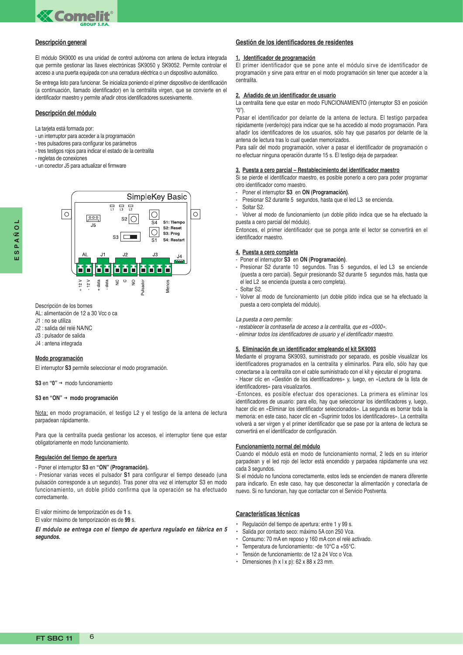

### **Descripción general**

El módulo SK9000 es una unidad de control autónoma con antena de lectura integrada que permite gestionar las llaves electrónicas SK9050 y SK9052. Permite controlar el acceso a una puerta equipada con una cerradura eléctrica o un dispositivo automático.

Se entrega listo para funcionar. Se inicializa poniendo el primer dispositivo de identificación (a continuación, llamado identificador) en la centralita virgen, que se convierte en el identificador maestro y permite añadir otros identificadores sucesivamente.

#### **Descripción del módulo**

La tarjeta está formada por:

- un interruptor para acceder a la programación
- tres pulsadores para configurar los parámetros
- tres testigos rojos para indicar el estado de la centralita
- regletas de conexiones
- un conector J5 para actualizar el firmware



# Descripción de los bornes

AL: alimentación de 12 a 30 Vcc o ca

- J1 : no se utiliza
- J2 : salida del relé NA/NC
- J3 : pulsador de salida
- J4 : antena integrada

#### **Modo programación**

El interruptor **S3** permite seleccionar el modo programación.

**S3** en **"0"** *→* modo funcionamiento

#### **S3 en "ON"** *→* **modo programación**

Nota: en modo programación, el testigo L2 y el testigo de la antena de lectura parpadean rápidamente.

Para que la centralita pueda gestionar los accesos, el interruptor tiene que estar obligatoriamente en modo funcionamiento.

#### **Regulación del tiempo de apertura**

- Poner el interruptor **S3** en **"ON" (Programación).**

- Presionar varias veces el pulsador **S1** para configurar el tiempo deseado (una pulsación corresponde a un segundo). Tras poner otra vez el interruptor S3 en modo funcionamiento, un doble pitido confirma que la operación se ha efectuado correctamente.

El valor mínimo de temporización es de **1** s.

El valor máximo de temporización es de **99** s.

**El módulo se entrega con el tiempo de apertura regulado en fábrica en 5 segundos.**

# **Gestión de los identificadores de residentes**

#### **1. Identificador de programación**

El primer identificador que se pone ante el módulo sirve de identificador de programación y sirve para entrar en el modo programación sin tener que acceder a la centralita.

#### **2. Añadido de un identificador de usuario**

La centralita tiene que estar en modo FUNCIONAMIENTO (interruptor S3 en posición " $0$ ")

Pasar el identificador por delante de la antena de lectura. El testigo parpadea rápidamente (verde/rojo) para indicar que se ha accedido al modo programación. Para añadir los identificadores de los usuarios, sólo hay que pasarlos por delante de la antena de lectura tras lo cual quedan memorizados.

Para salir del modo programación, volver a pasar el identificador de programación o no efectuar ninguna operación durante 15 s. El testigo deja de parpadear.

#### **3. Puesta a cero parcial – Restablecimiento del identificador maestro**

Si se pierde el identificador maestro, es posible ponerlo a cero para poder programar otro identificador como maestro.

- Poner el interruptor **S3** en **ON (Programación)**.
- Presionar S2 durante 5 segundos, hasta que el led L3 se encienda.
- Soltar S<sub>2</sub>

Volver al modo de funcionamiento (un doble pitido indica que se ha efectuado la puesta a cero parcial del módulo).

Entonces, el primer identificador que se ponga ante el lector se convertirá en el identificador maestro.

#### **4. Puesta a cero completa**

- Poner el interruptor **S3** en **ON (Programación)**.
- Presionar S2 durante 10 segundos. Tras 5 segundos, el led L3 se enciende (puesta a cero parcial). Seguir presionando S2 durante 5 segundos más, hasta que el led L2 se encienda (puesta a cero completa).
- Soltar S2.
- Volver al modo de funcionamiento (un doble pitido indica que se ha efectuado la puesta a cero completa del módulo).

#### La puesta a cero permite:

- restablecer la contraseña de acceso a la centralita, que es «0000».
- eliminar todos los identificadores de usuario y el identificador maestro.

#### **5. Eliminación de un identificador empleando el kit SK9093**

Mediante el programa SK9093, suministrado por separado, es posible visualizar los identificadores programados en la centralita y eliminarlos. Para ello, sólo hay que conectarse a la centralita con el cable suministrado con el kit y ejecutar el programa.

- Hacer clic en «Gestión de los identificadores» y, luego, en «Lectura de la lista de identificadores» para visualizarlos.

-Entonces, es posible efectuar dos operaciones. La primera es eliminar los identificadores de usuario: para ello, hay que seleccionar los identificadores y, luego, hacer clic en «Eliminar los identificador seleccionados». La segunda es borrar toda la memoria: en este caso, hacer clic en «Suprimir todos los identificadores». La centralita volverá a ser virgen y el primer identificador que se pase por la antena de lectura se convertirá en el identificador de configuración.

#### **Funcionamiento normal del módulo**

Cuando el módulo está en modo de funcionamiento normal, 2 leds en su interior parpadean y el led rojo del lector está encendido y parpadea rápidamente una vez cada 3 segundos.

Si el módulo no funciona correctamente, estos leds se encienden de manera diferente para indicarlo. En este caso, hay que desconectar la alimentación y conectarla de nuevo. Si no funcionan, hay que contactar con el Servicio Postventa.

# **Características técnicas**

- Regulación del tiempo de apertura: entre 1 y 99 s.
- Salida por contacto seco: máximo 5A con 250 Vca.
- Consumo: 70 mA en reposo y 160 mA con el relé activado.
- Temperatura de funcionamiento: -de 10°C a +55°C.
- Tensión de funcionamiento: de 12 a 24 Vcc o Vca.
- Dimensiones (h x  $|x p$ ): 62 x 88 x 23 mm.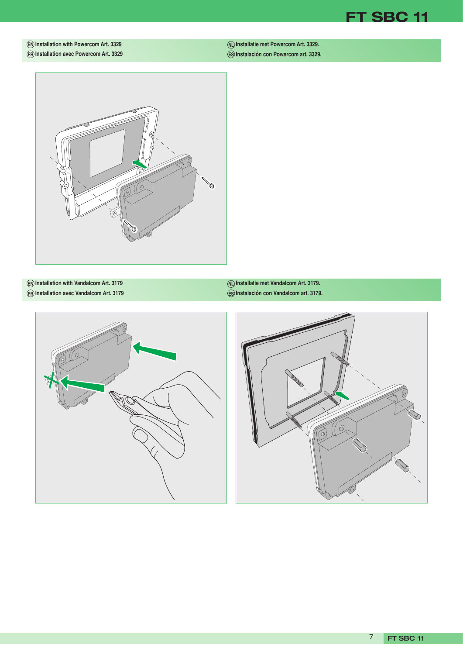

# **EN Installation with Powercom Art. 3329 FR Installation avec Powercom Art. 3329**

**Installatie met Powercom Art. 3329. NL Instalación con Powercom art. 3329. ES**



**EN Installation with Vandalcom Art. 3179 FR Installation avec Vandalcom Art. 3179**

**Installatie met Vandalcom Art. 3179. NL Instalación con Vandalcom art. 3179. ES**



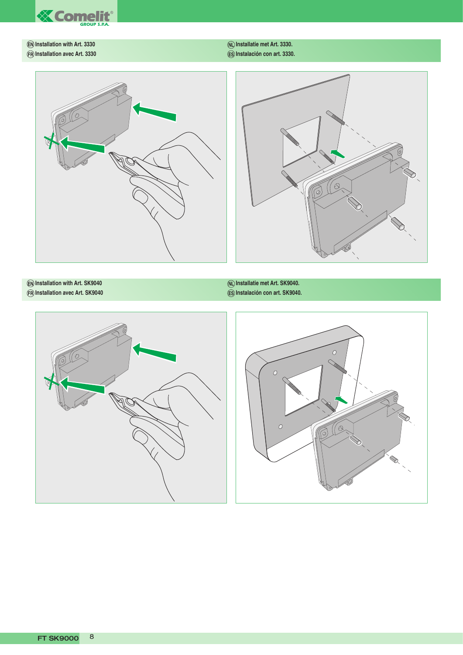

**EN Installation with Art. 3330 FR Installation avec Art. 3330** **Installatie met Art. 3330. NL Instalación con art. 3330. ES**





**EN Installation with Art. SK9040 FR Installation avec Art. SK9040** **Installatie met Art. SK9040. NL Instalación con art. SK9040. ES**



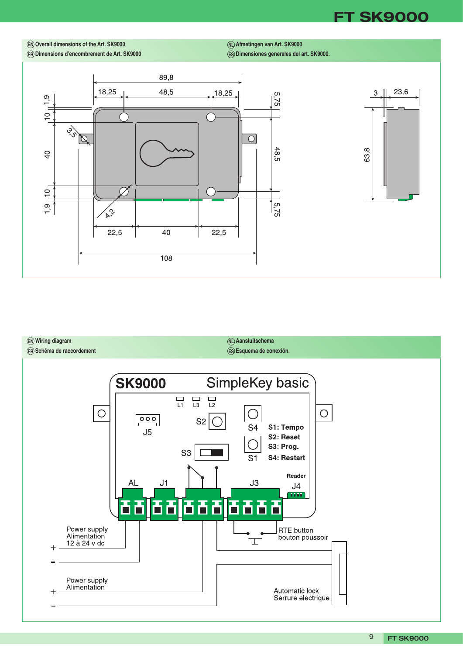**FT SK9000**

**EN Overall dimensions of the Art. SK9000**

**FR Dimensions d'encombrement de Art. SK9000**

**Afmetingen van Art. SK9000 NL Dimensiones generales del art. SK9000. ES**





**SK9000** 

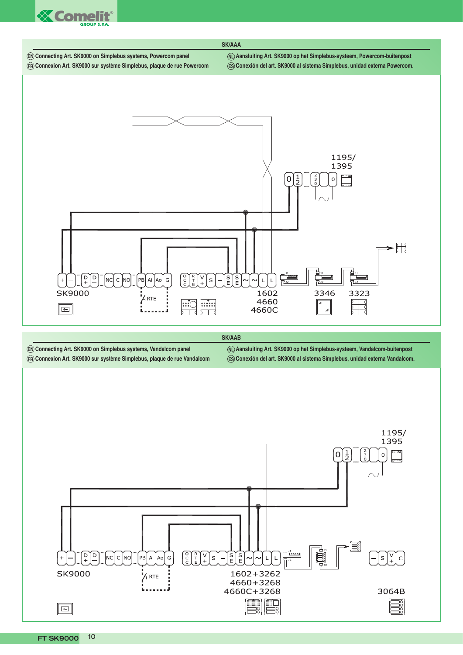





 $\mathsf{C}$